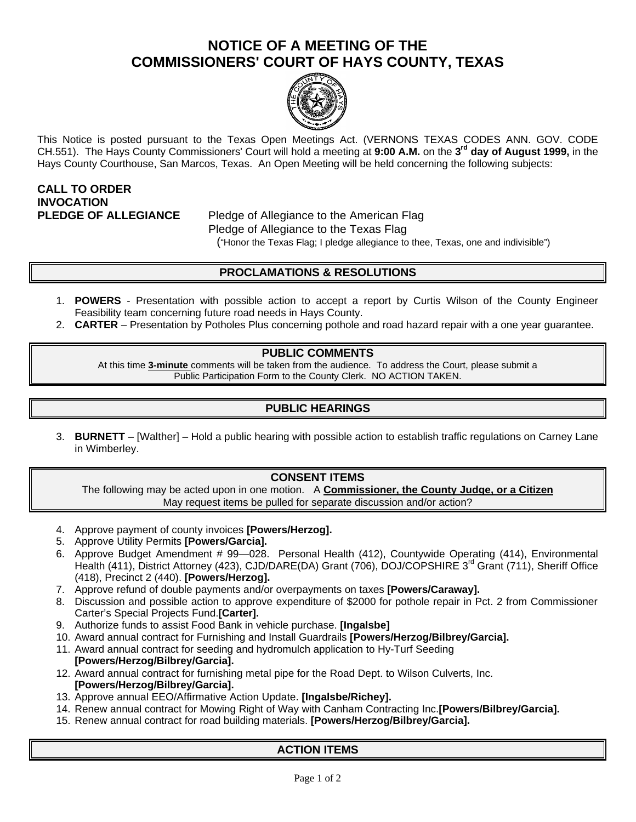## **NOTICE OF A MEETING OF THE COMMISSIONERS' COURT OF HAYS COUNTY, TEXAS**



This Notice is posted pursuant to the Texas Open Meetings Act. (VERNONS TEXAS CODES ANN. GOV. CODE CH.551). The Hays County Commissioners' Court will hold a meeting at **9:00 A.M.** on the **3 rd day of August 1999,** in the Hays County Courthouse, San Marcos, Texas. An Open Meeting will be held concerning the following subjects:

# **CALL TO ORDER INVOCATION**

**PLEDGE OF ALLEGIANCE** Pledge of Allegiance to the American Flag Pledge of Allegiance to the Texas Flag ("Honor the Texas Flag; I pledge allegiance to thee, Texas, one and indivisible")

## **PROCLAMATIONS & RESOLUTIONS**

- 1. **POWERS** Presentation with possible action to accept a report by Curtis Wilson of the County Engineer Feasibility team concerning future road needs in Hays County.
- 2. **CARTER** Presentation by Potholes Plus concerning pothole and road hazard repair with a one year guarantee.

#### **PUBLIC COMMENTS**

At this time **3-minute** comments will be taken from the audience. To address the Court, please submit a Public Participation Form to the County Clerk. NO ACTION TAKEN.

### **PUBLIC HEARINGS**

3. **BURNETT** – [Walther] – Hold a public hearing with possible action to establish traffic regulations on Carney Lane in Wimberley.

#### **CONSENT ITEMS**

The following may be acted upon in one motion. A **Commissioner, the County Judge, or a Citizen** May request items be pulled for separate discussion and/or action?

- 4. Approve payment of county invoices **[Powers/Herzog].**
- 5. Approve Utility Permits **[Powers/Garcia].**
- 6. Approve Budget Amendment # 99—028. Personal Health (412), Countywide Operating (414), Environmental Health (411), District Attorney (423), CJD/DARE(DA) Grant (706), DOJ/COPSHIRE 3<sup>rd</sup> Grant (711), Sheriff Office (418), Precinct 2 (440). **[Powers/Herzog].**
- 7. Approve refund of double payments and/or overpayments on taxes **[Powers/Caraway].**
- 8. Discussion and possible action to approve expenditure of \$2000 for pothole repair in Pct. 2 from Commissioner Carter's Special Projects Fund.**[Carter].**
- 9. Authorize funds to assist Food Bank in vehicle purchase. **[Ingalsbe]**
- 10. Award annual contract for Furnishing and Install Guardrails **[Powers/Herzog/Bilbrey/Garcia].**
- 11. Award annual contract for seeding and hydromulch application to Hy-Turf Seeding **[Powers/Herzog/Bilbrey/Garcia].**
- 12. Award annual contract for furnishing metal pipe for the Road Dept. to Wilson Culverts, Inc. **[Powers/Herzog/Bilbrey/Garcia].**
- 13. Approve annual EEO/Affirmative Action Update. **[Ingalsbe/Richey].**
- 14. Renew annual contract for Mowing Right of Way with Canham Contracting Inc.**[Powers/Bilbrey/Garcia].**
- 15. Renew annual contract for road building materials. **[Powers/Herzog/Bilbrey/Garcia].**

#### **ACTION ITEMS**